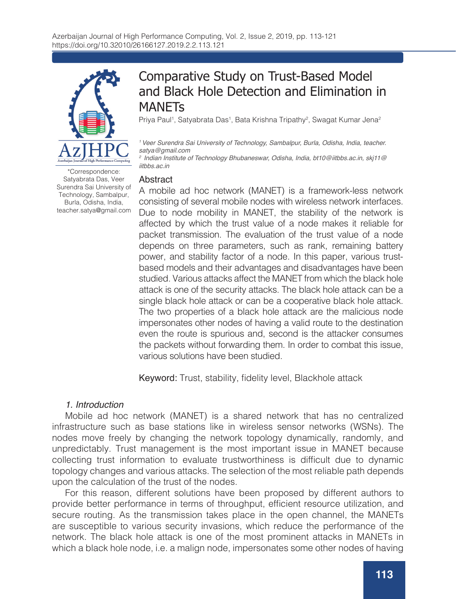

Comparative Study on Trust-Based Model and Black Hole Detection and Elimination in **MANFTs** 

Priya Paul<sup>1</sup>, Satyabrata Das<sup>1</sup>, Bata Krishna Tripathy<sup>2</sup>, Swagat Kumar Jena<sup>2</sup>

*1 Veer Surendra Sai University of Technology, Sambalpur, Burla, Odisha, India, teacher. satya@gmail.com*

*2 Indian Institute of Technology Bhubaneswar, Odisha, India, bt10@iitbbs.ac.in, skj11@ iitbbs.ac.in*

### Abstract

A mobile ad hoc network (MANET) is a framework-less network consisting of several mobile nodes with wireless network interfaces. Due to node mobility in MANET, the stability of the network is affected by which the trust value of a node makes it reliable for packet transmission. The evaluation of the trust value of a node depends on three parameters, such as rank, remaining battery power, and stability factor of a node. In this paper, various trustbased models and their advantages and disadvantages have been studied. Various attacks affect the MANET from which the black hole attack is one of the security attacks. The black hole attack can be a single black hole attack or can be a cooperative black hole attack. The two properties of a black hole attack are the malicious node impersonates other nodes of having a valid route to the destination even the route is spurious and, second is the attacker consumes the packets without forwarding them. In order to combat this issue, various solutions have been studied.

Keyword: Trust, stability, fidelity level, Blackhole attack

## *1. Introduction*

Mobile ad hoc network (MANET) is a shared network that has no centralized infrastructure such as base stations like in wireless sensor networks (WSNs). The nodes move freely by changing the network topology dynamically, randomly, and unpredictably. Trust management is the most important issue in MANET because collecting trust information to evaluate trustworthiness is difficult due to dynamic topology changes and various attacks. The selection of the most reliable path depends upon the calculation of the trust of the nodes.

For this reason, different solutions have been proposed by different authors to provide better performance in terms of throughput, efficient resource utilization, and secure routing. As the transmission takes place in the open channel, the MANETs are susceptible to various security invasions, which reduce the performance of the network. The black hole attack is one of the most prominent attacks in MANETs in which a black hole node, i.e. a malign node, impersonates some other nodes of having

\*Correspondence: Satyabrata Das, Veer Surendra Sai University of Technology, Sambalpur, Burla, Odisha, India, teacher.satya@gmail.com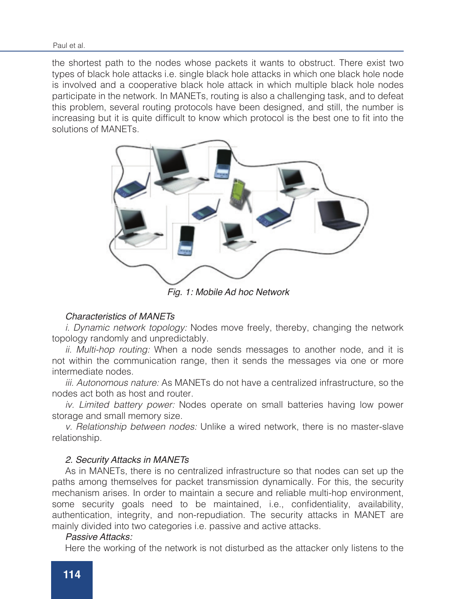the shortest path to the nodes whose packets it wants to obstruct. There exist two types of black hole attacks i.e. single black hole attacks in which one black hole node is involved and a cooperative black hole attack in which multiple black hole nodes participate in the network. In MANETs, routing is also a challenging task, and to defeat this problem, several routing protocols have been designed, and still, the number is increasing but it is quite difficult to know which protocol is the best one to fit into the solutions of MANETs.



*Fig. 1: Mobile Ad hoc Network*

## *Characteristics of MANETs*

*i. Dynamic network topology:* Nodes move freely, thereby, changing the network topology randomly and unpredictably.

*ii. Multi-hop routing:* When a node sends messages to another node, and it is not within the communication range, then it sends the messages via one or more intermediate nodes.

*iii. Autonomous nature:* As MANETs do not have a centralized infrastructure, so the nodes act both as host and router.

*iv. Limited battery power:* Nodes operate on small batteries having low power storage and small memory size.

*v. Relationship between nodes:* Unlike a wired network, there is no master-slave relationship.

## *2. Security Attacks in MANETs*

As in MANETs, there is no centralized infrastructure so that nodes can set up the paths among themselves for packet transmission dynamically. For this, the security mechanism arises. In order to maintain a secure and reliable multi-hop environment, some security goals need to be maintained, i.e., confidentiality, availability, authentication, integrity, and non-repudiation. The security attacks in MANET are mainly divided into two categories i.e. passive and active attacks.

## *Passive Attacks:*

Here the working of the network is not disturbed as the attacker only listens to the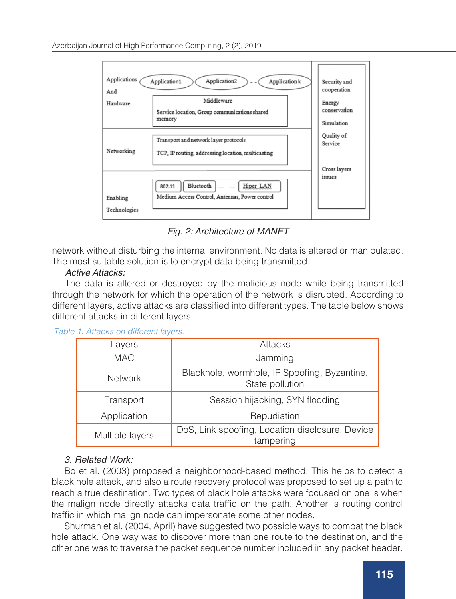

*Fig. 2: Architecture of MANET*

network without disturbing the internal environment. No data is altered or manipulated. The most suitable solution is to encrypt data being transmitted.

## *Active Attacks:*

The data is altered or destroyed by the malicious node while being transmitted through the network for which the operation of the network is disrupted. According to different layers, active attacks are classified into different types. The table below shows different attacks in different layers.

## *Table 1. Attacks on different layers.*

| Layers          | Attacks                                                         |  |
|-----------------|-----------------------------------------------------------------|--|
| <b>MAC</b>      | Jamming                                                         |  |
| <b>Network</b>  | Blackhole, wormhole, IP Spoofing, Byzantine,<br>State pollution |  |
| Transport       | Session hijacking, SYN flooding                                 |  |
| Application     | Repudiation                                                     |  |
| Multiple layers | DoS, Link spoofing, Location disclosure, Device<br>tampering    |  |

# *3. Related Work:*

Bo et al. (2003) proposed a neighborhood-based method. This helps to detect a black hole attack, and also a route recovery protocol was proposed to set up a path to reach a true destination. Two types of black hole attacks were focused on one is when the malign node directly attacks data traffic on the path. Another is routing control traffic in which malign node can impersonate some other nodes.

Shurman et al. (2004, April) have suggested two possible ways to combat the black hole attack. One way was to discover more than one route to the destination, and the other one was to traverse the packet sequence number included in any packet header.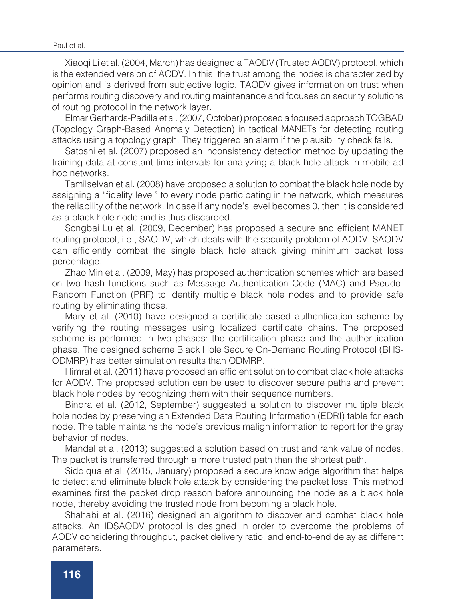#### Paul et al.

Xiaoqi Li et al. (2004, March) has designed a TAODV (Trusted AODV) protocol, which is the extended version of AODV. In this, the trust among the nodes is characterized by opinion and is derived from subjective logic. TAODV gives information on trust when performs routing discovery and routing maintenance and focuses on security solutions of routing protocol in the network layer.

Elmar Gerhards-Padilla et al. (2007, October) proposed a focused approach TOGBAD (Topology Graph-Based Anomaly Detection) in tactical MANETs for detecting routing attacks using a topology graph. They triggered an alarm if the plausibility check fails.

Satoshi et al. (2007) proposed an inconsistency detection method by updating the training data at constant time intervals for analyzing a black hole attack in mobile ad hoc networks.

Tamilselvan et al. (2008) have proposed a solution to combat the black hole node by assigning a "fidelity level" to every node participating in the network, which measures the reliability of the network. In case if any node's level becomes 0, then it is considered as a black hole node and is thus discarded.

Songbai Lu et al. (2009, December) has proposed a secure and efficient MANET routing protocol, i.e., SAODV, which deals with the security problem of AODV. SAODV can efficiently combat the single black hole attack giving minimum packet loss percentage.

Zhao Min et al. (2009, May) has proposed authentication schemes which are based on two hash functions such as Message Authentication Code (MAC) and Pseudo-Random Function (PRF) to identify multiple black hole nodes and to provide safe routing by eliminating those.

Mary et al. (2010) have designed a certificate-based authentication scheme by verifying the routing messages using localized certificate chains. The proposed scheme is performed in two phases: the certification phase and the authentication phase. The designed scheme Black Hole Secure On-Demand Routing Protocol (BHS-ODMRP) has better simulation results than ODMRP.

Himral et al. (2011) have proposed an efficient solution to combat black hole attacks for AODV. The proposed solution can be used to discover secure paths and prevent black hole nodes by recognizing them with their sequence numbers.

Bindra et al. (2012, September) suggested a solution to discover multiple black hole nodes by preserving an Extended Data Routing Information (EDRI) table for each node. The table maintains the node's previous malign information to report for the gray behavior of nodes.

Mandal et al. (2013) suggested a solution based on trust and rank value of nodes. The packet is transferred through a more trusted path than the shortest path.

Siddiqua et al. (2015, January) proposed a secure knowledge algorithm that helps to detect and eliminate black hole attack by considering the packet loss. This method examines first the packet drop reason before announcing the node as a black hole node, thereby avoiding the trusted node from becoming a black hole.

Shahabi et al. (2016) designed an algorithm to discover and combat black hole attacks. An IDSAODV protocol is designed in order to overcome the problems of AODV considering throughput, packet delivery ratio, and end-to-end delay as different parameters.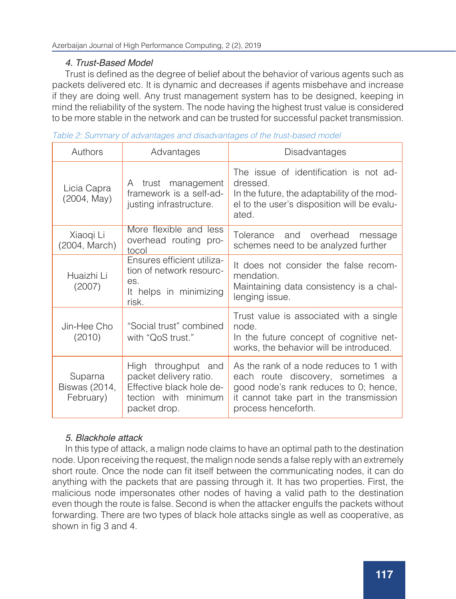# *4. Trust-Based Model*

Trust is defined as the degree of belief about the behavior of various agents such as packets delivered etc. It is dynamic and decreases if agents misbehave and increase if they are doing well. Any trust management system has to be designed, keeping in mind the reliability of the system. The node having the highest trust value is considered to be more stable in the network and can be trusted for successful packet transmission.

| Authors                                                                                                                                                    | Advantages                                                               | Disadvantages                                                                                                                                                                           |  |  |
|------------------------------------------------------------------------------------------------------------------------------------------------------------|--------------------------------------------------------------------------|-----------------------------------------------------------------------------------------------------------------------------------------------------------------------------------------|--|--|
| Licia Capra<br>(2004, May)                                                                                                                                 | A trust management<br>framework is a self-ad-<br>justing infrastructure. | The issue of identification is not ad-<br>dressed.<br>In the future, the adaptability of the mod-<br>el to the user's disposition will be evalu-<br>ated.                               |  |  |
| More flexible and less<br>Xiaoqi Li<br>overhead routing pro-<br>(2004, March)<br>tocol                                                                     |                                                                          | Tolerance and overhead<br>message<br>schemes need to be analyzed further                                                                                                                |  |  |
| Ensures efficient utiliza-<br>tion of network resourc-<br>Huaizhi Li<br>es.<br>(2007)<br>It helps in minimizing<br>risk.                                   |                                                                          | It does not consider the false recom-<br>mendation.<br>Maintaining data consistency is a chal-<br>lenging issue.                                                                        |  |  |
| "Social trust" combined<br>Jin-Hee Cho<br>(2010)<br>with "QoS trust."                                                                                      |                                                                          | Trust value is associated with a single<br>node.<br>In the future concept of cognitive net-<br>works, the behavior will be introduced.                                                  |  |  |
| High throughput and<br>packet delivery ratio.<br>Suparna<br>Effective black hole de-<br>Biswas (2014,<br>February)<br>tection with minimum<br>packet drop. |                                                                          | As the rank of a node reduces to 1 with<br>each route discovery, sometimes a<br>good node's rank reduces to 0; hence,<br>it cannot take part in the transmission<br>process henceforth. |  |  |

|  |  |  | Table 2: Summary of advantages and disadvantages of the trust-based model |  |  |
|--|--|--|---------------------------------------------------------------------------|--|--|
|  |  |  |                                                                           |  |  |
|  |  |  |                                                                           |  |  |
|  |  |  |                                                                           |  |  |

# *5. Blackhole attack*

In this type of attack, a malign node claims to have an optimal path to the destination node. Upon receiving the request, the malign node sends a false reply with an extremely short route. Once the node can fit itself between the communicating nodes, it can do anything with the packets that are passing through it. It has two properties. First, the malicious node impersonates other nodes of having a valid path to the destination even though the route is false. Second is when the attacker engulfs the packets without forwarding. There are two types of black hole attacks single as well as cooperative, as shown in fig 3 and 4.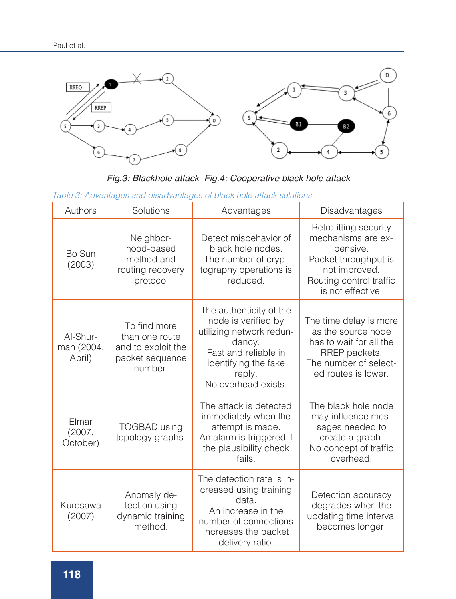

*Fig.3: Blackhole attack Fig.4: Cooperative black hole attack*

|  | Table 3: Advantages and disadvantages of black hole attack solutions |  |
|--|----------------------------------------------------------------------|--|
|  |                                                                      |  |

| Authors                          | Solutions                                                                          | Advantages                                                                                                                                                            | Disadvantages                                                                                                                                    |
|----------------------------------|------------------------------------------------------------------------------------|-----------------------------------------------------------------------------------------------------------------------------------------------------------------------|--------------------------------------------------------------------------------------------------------------------------------------------------|
| Bo Sun<br>(2003)                 | Neighbor-<br>hood-based<br>method and<br>routing recovery<br>protocol              | Detect misbehavior of<br>black hole nodes.<br>The number of cryp-<br>tography operations is<br>reduced.                                                               | Retrofitting security<br>mechanisms are ex-<br>pensive.<br>Packet throughput is<br>not improved.<br>Routing control traffic<br>is not effective. |
| Al-Shur-<br>man (2004,<br>April) | To find more<br>than one route<br>and to exploit the<br>packet sequence<br>number. | The authenticity of the<br>node is verified by<br>utilizing network redun-<br>dancy.<br>Fast and reliable in<br>identifying the fake<br>reply.<br>No overhead exists. | The time delay is more<br>as the source node<br>has to wait for all the<br>RREP packets.<br>The number of select-<br>ed routes is lower.         |
| Elmar<br>(2007,<br>October)      | <b>TOGBAD</b> using<br>topology graphs.                                            | The attack is detected<br>immediately when the<br>attempt is made.<br>An alarm is triggered if<br>the plausibility check<br>fails.                                    | The black hole node<br>may influence mes-<br>sages needed to<br>create a graph.<br>No concept of traffic<br>overhead.                            |
| Kurosawa<br>(2007)               | Anomaly de-<br>tection using<br>dynamic training<br>method.                        | The detection rate is in-<br>creased using training<br>data.<br>An increase in the<br>number of connections<br>increases the packet<br>delivery ratio.                | Detection accuracy<br>degrades when the<br>updating time interval<br>becomes longer.                                                             |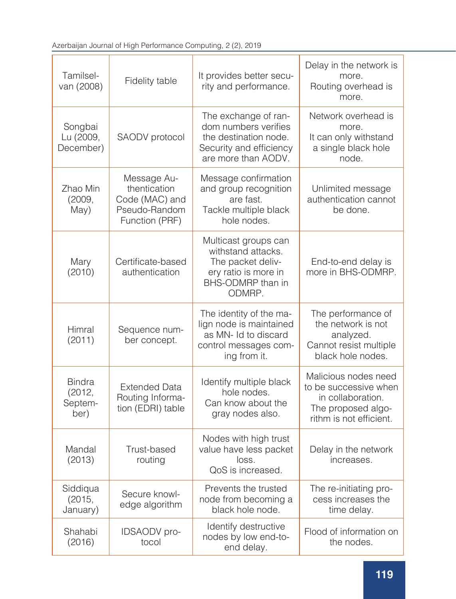| Tamilsel-<br>van (2008)                    | Fidelity table                                                                   | It provides better secu-<br>rity and performance.                                                                       | Delay in the network is<br>more.<br>Routing overhead is<br>more.                                                    |  |
|--------------------------------------------|----------------------------------------------------------------------------------|-------------------------------------------------------------------------------------------------------------------------|---------------------------------------------------------------------------------------------------------------------|--|
| Songbai<br>Lu (2009,<br>December)          | SAODV protocol                                                                   | The exchange of ran-<br>dom numbers verifies<br>the destination node.<br>Security and efficiency<br>are more than AODV. | Network overhead is<br>more.<br>It can only withstand<br>a single black hole<br>node.                               |  |
| Zhao Min<br>(2009,<br>May)                 | Message Au-<br>thentication<br>Code (MAC) and<br>Pseudo-Random<br>Function (PRF) | Message confirmation<br>and group recognition<br>are fast.<br>Tackle multiple black<br>hole nodes.                      | Unlimited message<br>authentication cannot<br>be done.                                                              |  |
| Mary<br>(2010)                             | Certificate-based<br>authentication                                              | Multicast groups can<br>withstand attacks.<br>The packet deliv-<br>ery ratio is more in<br>BHS-ODMRP than in<br>ODMRP.  | End-to-end delay is<br>more in BHS-ODMRP.                                                                           |  |
| Himral<br>(2011)                           | Sequence num-<br>ber concept.                                                    | The identity of the ma-<br>lign node is maintained<br>as MN- Id to discard<br>control messages com-<br>ing from it.     | The performance of<br>the network is not<br>analyzed.<br>Cannot resist multiple<br>black hole nodes.                |  |
| <b>Bindra</b><br>(2012,<br>Septem-<br>ber) | <b>Extended Data</b><br>Routing Informa-<br>tion (EDRI) table                    | Identify multiple black<br>hole nodes.<br>Can know about the<br>gray nodes also.                                        | Malicious nodes need<br>to be successive when<br>in collaboration.<br>The proposed algo-<br>rithm is not efficient. |  |
| Mandal<br>(2013)                           | Trust-based<br>routing                                                           | Nodes with high trust<br>value have less packet<br>loss.<br>QoS is increased.                                           | Delay in the network<br>increases.                                                                                  |  |
| Siddiqua<br>(2015,<br>January)             | Secure knowl-<br>edge algorithm                                                  | Prevents the trusted<br>node from becoming a<br>black hole node.                                                        | The re-initiating pro-<br>cess increases the<br>time delay.                                                         |  |
| Shahabi<br>(2016)                          | IDSAODV pro-<br>tocol                                                            | Identify destructive<br>nodes by low end-to-<br>end delay.                                                              | Flood of information on<br>the nodes.                                                                               |  |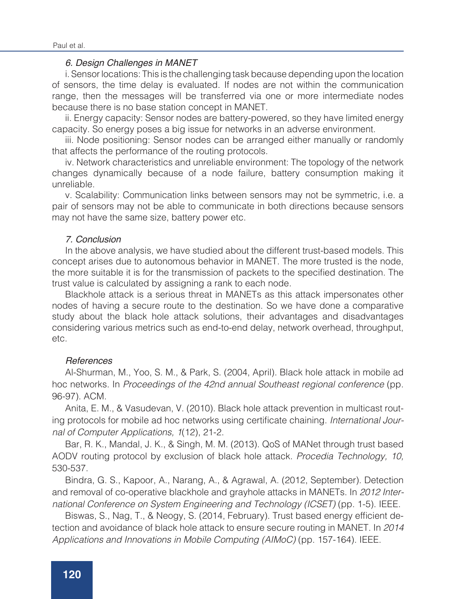## *6. Design Challenges in MANET*

i. Sensor locations: This is the challenging task because depending upon the location of sensors, the time delay is evaluated. If nodes are not within the communication range, then the messages will be transferred via one or more intermediate nodes because there is no base station concept in MANET.

ii. Energy capacity: Sensor nodes are battery-powered, so they have limited energy capacity. So energy poses a big issue for networks in an adverse environment.

iii. Node positioning: Sensor nodes can be arranged either manually or randomly that affects the performance of the routing protocols.

iv. Network characteristics and unreliable environment: The topology of the network changes dynamically because of a node failure, battery consumption making it unreliable.

v. Scalability: Communication links between sensors may not be symmetric, i.e. a pair of sensors may not be able to communicate in both directions because sensors may not have the same size, battery power etc.

### *7. Conclusion*

In the above analysis, we have studied about the different trust-based models. This concept arises due to autonomous behavior in MANET. The more trusted is the node, the more suitable it is for the transmission of packets to the specified destination. The trust value is calculated by assigning a rank to each node.

Blackhole attack is a serious threat in MANETs as this attack impersonates other nodes of having a secure route to the destination. So we have done a comparative study about the black hole attack solutions, their advantages and disadvantages considering various metrics such as end-to-end delay, network overhead, throughput, etc.

### *References*

Al-Shurman, M., Yoo, S. M., & Park, S. (2004, April). Black hole attack in mobile ad hoc networks. In *Proceedings of the 42nd annual Southeast regional conference* (pp. 96-97). ACM.

Anita, E. M., & Vasudevan, V. (2010). Black hole attack prevention in multicast routing protocols for mobile ad hoc networks using certificate chaining. *International Journal of Computer Applications, 1*(12), 21-2.

Bar, R. K., Mandal, J. K., & Singh, M. M. (2013). QoS of MANet through trust based AODV routing protocol by exclusion of black hole attack. *Procedia Technology, 10,*  530-537.

Bindra, G. S., Kapoor, A., Narang, A., & Agrawal, A. (2012, September). Detection and removal of co-operative blackhole and grayhole attacks in MANETs. In *2012 International Conference on System Engineering and Technology (ICSET)* (pp. 1-5). IEEE.

Biswas, S., Nag, T., & Neogy, S. (2014, February). Trust based energy efficient detection and avoidance of black hole attack to ensure secure routing in MANET. In *2014 Applications and Innovations in Mobile Computing (AIMoC)* (pp. 157-164). IEEE.